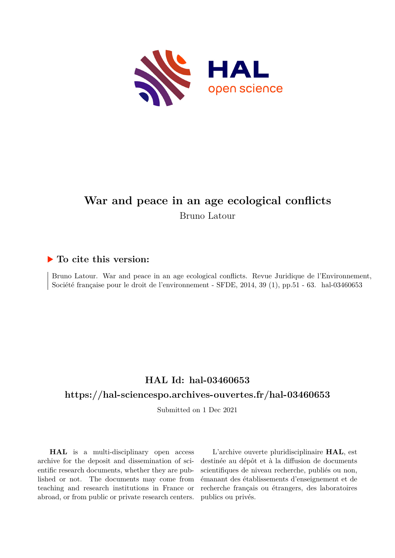

# **War and peace in an age ecological conflicts** Bruno Latour

## **To cite this version:**

Bruno Latour. War and peace in an age ecological conflicts. Revue Juridique de l'Environnement, Société française pour le droit de l'environnement - SFDE, 2014, 39 (1), pp.51 - 63. hal-03460653

## **HAL Id: hal-03460653 <https://hal-sciencespo.archives-ouvertes.fr/hal-03460653>**

Submitted on 1 Dec 2021

**HAL** is a multi-disciplinary open access archive for the deposit and dissemination of scientific research documents, whether they are published or not. The documents may come from teaching and research institutions in France or abroad, or from public or private research centers.

L'archive ouverte pluridisciplinaire **HAL**, est destinée au dépôt et à la diffusion de documents scientifiques de niveau recherche, publiés ou non, émanant des établissements d'enseignement et de recherche français ou étrangers, des laboratoires publics ou privés.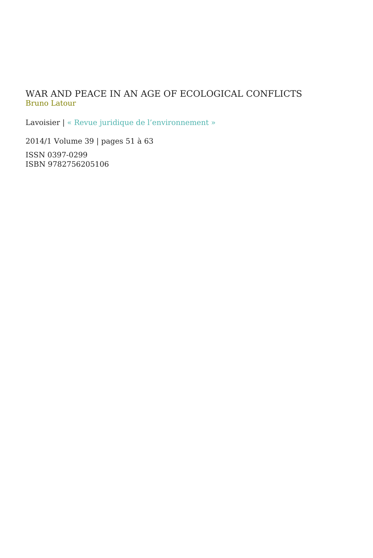#### WAR AND PEACE IN AN AGE OF ECOLOGICAL CONFLICTS Bruno Latour

Lavoisier | « Revue juridique de l'environnement »

2014/1 Volume 39 | pages 51 à 63

ISSN 0397-0299 ISBN 9782756205106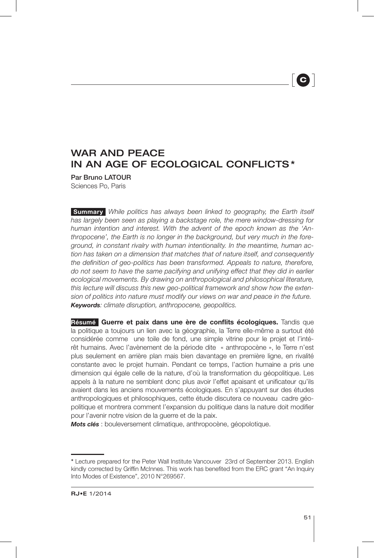# **C**h

### WAR AND PEACE IN AN AGE OF ECOLOGICAL CONFLICTS \*

Par Bruno LATOUR Sciences Po, Paris

**Summary** *While politics has always been linked to geography, the Earth itself has largely been seen as playing a backstage role, the mere window-dressing for human intention and interest. With the advent of the epoch known as the 'Anthropocene', the Earth is no longer in the background, but very much in the foreground, in constant rivalry with human intentionality. In the meantime, human action has taken on a dimension that matches that of nature itself, and consequently the definition of geo-politics has been transformed. Appeals to nature, therefore, do not seem to have the same pacifying and unifying effect that they did in earlier ecological movements. By drawing on anthropological and philosophical literature, this lecture will discuss this new geo-political framework and show how the extension of politics into nature must modify our views on war and peace in the future. Keywords: climate disruption, anthropocene, geopolitics.*

Résumé Guerre et paix dans une ère de conflits écologiques. Tandis que la politique a toujours un lien avec la géographie, la Terre elle-même a surtout été considérée comme une toile de fond, une simple vitrine pour le projet et l'intérêt humains. Avec l'avènement de la période dite « anthropocène », le Terre n'est plus seulement en arrière plan mais bien davantage en première ligne, en rivalité constante avec le projet humain. Pendant ce temps, l'action humaine a pris une dimension qui égale celle de la nature, d'où la transformation du géopolitique. Les appels à la nature ne semblent donc plus avoir l'effet apaisant et unificateur qu'ils avaient dans les anciens mouvements écologiques. En s'appuyant sur des études anthropologiques et philosophiques, cette étude discutera ce nouveau cadre géopolitique et montrera comment l'expansion du politique dans la nature doit modifier pour l'avenir notre vision de la guerre et de la paix.

*Mots clés* : bouleversement climatique, anthropocène, géopolotique.

<sup>\*</sup> Lecture prepared for the Peter Wall Institute Vancouver 23rd of September 2013. English kindly corrected by Griffin McInnes. This work has benefited from the ERC grant "An Inquiry Into Modes of Existence", 2010 N°269567.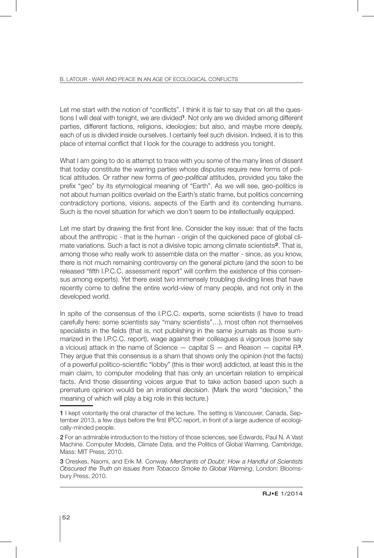Let me start with the notion of "conflicts". I think it is fair to say that on all the questions I will deal with tonight, we are divided<sup>1</sup>. Not only are we divided among different parties, different factions, religions, ideologies; but also, and maybe more deeply, each of us is divided inside ourselves. I certainly feel such division. Indeed, it is to this place of internal conflict that I look for the courage to address you tonight.

What I am going to do is attempt to trace with you some of the many lines of dissent that today constitute the warring parties whose disputes require new forms of political attitudes. Or rather new forms of *geo-political* attitudes, provided you take the prefix "geo" by its etymological meaning of "Earth". As we will see, geo-politics is not about human politics overlaid on the Earth's static frame, but politics concerning contradictory portions, visions, aspects of the Earth and its contending humans. Such is the novel situation for which we don't seem to be intellectually equipped.

Let me start by drawing the first front line. Consider the key issue: that of the facts about the anthropic - that is the human - origin of the quickened pace of global climate variations. Such a fact is not a divisive topic among climate scientists<sup>2</sup>. That is, among those who really work to assemble data on the matter - since, as you know, there is not much remaining controversy on the general picture (and the soon to be released "fifth I.P.C.C. assessment report" will confirm the existence of this consensus among experts). Yet there exist two immensely troubling dividing lines that have recently come to define the entire world-view of many people, and not only in the developed world.

In spite of the consensus of the I.P.C.C. experts, some scientists (I have to tread carefully here: some scientists say "many scientists"…), most often not themselves specialists in the fields (that is, not publishing in the same journals as those summarized in the I.P.C.C. report), wage against their colleagues a vigorous (some say a vicious) attack in the name of Science  $-$  capital  $S -$  and Reason  $-$  capital  $R^3$ . They argue that this consensus is a sham that shows only the opinion (not the facts) of a powerful politico-scientific "lobby" (this is their word) addicted, at least this is the main claim, to computer modeling that has only an uncertain relation to empirical facts. And those dissenting voices argue that to take action based upon such a premature opinion would be an irrational *decision*. (Mark the word "decision," the meaning of which will play a big role in this lecture.)

<sup>1</sup> I kept volontarily the oral character of the lecture. The setting is Vancouver, Canada, September 2013, a few days before the first IPCC report, in front of a large audience of ecologically-minded people.

<sup>2</sup> For an admirable introduction to the history of those sciences, see Edwards, Paul N. A Vast Machine. Computer Models, Climate Data, and the Politics of Global Warming. Cambridge, Mass: MIT Press, 2010.

<sup>3</sup> Oreskes, Naomi, and Erik M. Conway. *Merchants of Doubt: How a Handful of Scientists Obscured the Truth on Issues from Tobacco Smoke to Global Warming*. London: Bloomsbury Press, 2010.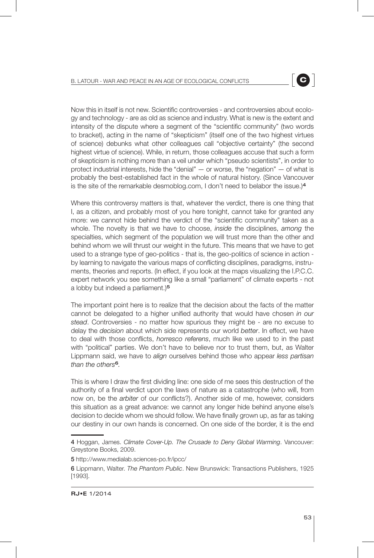Now this in itself is not new. Scientific controversies - and controversies about ecology and technology - are as old as science and industry. What is new is the extent and intensity of the dispute where a segment of the "scientific community" (two words to bracket), acting in the name of "skepticism" (itself one of the two highest virtues of science) debunks what other colleagues call "objective certainty" (the second highest virtue of science). While, in return, those colleagues accuse that such a form of skepticism is nothing more than a veil under which "pseudo scientists", in order to protect industrial interests, hide the "denial"  $-$  or worse, the "negation"  $-$  of what is probably the best-established fact in the whole of natural history. (Since Vancouver is the site of the remarkable desmoblog.com, I don't need to belabor the issue.)<sup>4</sup>

Where this controversy matters is that, whatever the verdict, there is one thing that I, as a citizen, and probably most of you here tonight, cannot take for granted any more: we cannot hide behind the verdict of the "scientific community" taken as a whole. The novelty is that we have to choose, *inside* the disciplines, *among* the specialties, which segment of the population we will trust more than the other and behind whom we will thrust our weight in the future. This means that we have to get used to a strange type of geo-politics - that is, the geo-politics of science in action by learning to navigate the various maps of conflicting disciplines, paradigms, instruments, theories and reports. (In effect, if you look at the maps visualizing the I.P.C.C. expert network you see something like a small "parliament" of climate experts - not a lobby but indeed a parliament.)<sup>5</sup>

The important point here is to realize that the decision about the facts of the matter cannot be delegated to a higher unified authority that would have chosen *in our stead*. Controversies - no matter how spurious they might be - are no excuse to delay the *decision* about which side represents our world *better*. In effect, we have to deal with those conflicts, *horresco referens*, much like we used to in the past with "political" parties. We don't have to believe nor to trust them, but, as Walter Lippmann said, we have to *align* ourselves behind those who appear *less partisan than the others*<sup>6</sup>*.*

This is where I draw the first dividing line: one side of me sees this destruction of the authority of a final verdict upon the laws of nature as a catastrophe (who will, from now on, be the *arbiter* of our conflicts?). Another side of me, however, considers this situation as a great advance: we cannot any longer hide behind anyone else's decision to decide whom we should follow. We have finally grown up, as far as taking our destiny in our own hands is concerned. On one side of the border, it is the end

<sup>4</sup> Hoggan, James. *Climate Cover-Up. The Crusade to Deny Global Warming*. Vancouver: Greystone Books, 2009.

<sup>5</sup> http://www.medialab.sciences-po.fr/ipcc/

<sup>6</sup> Lippmann, Walter. *The Phantom Public*. New Brunswick: Transactions Publishers, 1925 [1993].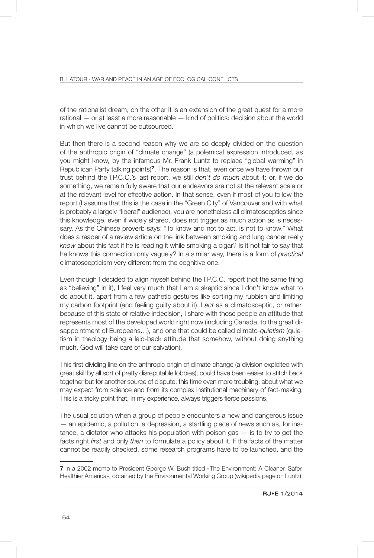of the rationalist dream, on the other it is an extension of the great quest for a more rational — or at least a more reasonable — kind of politics: decision about the world in which we live cannot be outsourced.

But then there is a second reason why we are so deeply divided on the question of the anthropic origin of "climate change" (a polemical expression introduced, as you might know, by the infamous Mr. Frank Luntz to replace "global warming" in Republican Party talking points)<sup>7</sup>. The reason is that, even once we have thrown our trust behind the I.P.C.C.'s last report, we still *don't do much* about it; or, if we do something, we remain fully aware that our endeavors are not at the relevant scale or at the relevant level for effective action. In that sense, even if most of you follow the report (I assume that this is the case in the "Green City" of Vancouver and with what is probably a largely "liberal" audience), you are nonetheless all climatosceptics since this knowledge, even if widely shared, does not trigger as much action as is necessary. As the Chinese proverb says: "To know and not to act, is not to know." What does a reader of a review article on the link between smoking and lung cancer really *know* about this fact if he is reading it while smoking a cigar? Is it not fair to say that he knows this connection only vaguely? In a similar way, there is a form of *practical* climatoscepticism very different from the cognitive one.

Even though I decided to align myself behind the I.P.C.C. report (not the same thing as "believing" in it), I feel very much that I am a skeptic since I don't know what to do about it, apart from a few pathetic gestures like sorting my rubbish and limiting my carbon footprint (and feeling guilty about it). I *act* as a climatosceptic, or rather, because of this state of relative indecision, I share with those people an attitude that represents most of the developed world right now (including Canada, to the great disappointment of Europeans…), and one that could be called climato-*quietism* (quietism in theology being a laid-back attitude that somehow, without doing anything much, God will take care of our salvation).

This first dividing line on the anthropic origin of climate change (a division exploited with great skill by all sort of pretty disreputable lobbies), could have been easier to stitch back together but for another source of dispute, this time even more troubling, about what we may expect from science and from its complex institutional machinery of fact-making. This is a tricky point that, in my experience, always triggers fierce passions.

The usual solution when a group of people encounters a new and dangerous issue — an epidemic, a pollution, a depression, a startling piece of news such as, for instance, a dictator who attacks his population with poison gas — is to try to get the facts right *first* and only *then* to formulate a policy about it. If the facts of the matter cannot be readily checked, some research programs have to be launched, and the

<sup>7</sup> In a 2002 memo to President George W. Bush titled «The Environment: A Cleaner, Safer, Healthier America», obtained by the Environmental Working Group (wikipedia page on Luntz).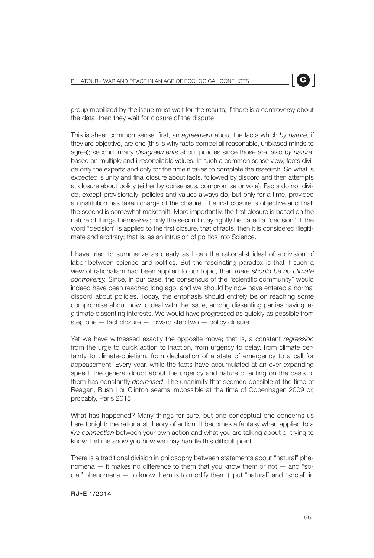group mobilized by the issue must wait for the results; if there is a controversy about the data, then they wait for closure of the dispute.

This is sheer common sense: first, an *agreement* about the facts which *by nature*, if they are objective, are one (this is why facts compel all reasonable, unbiased minds to agree); second, many *disagreements* about policies since those are, also *by nature*, based on multiple and irreconcilable values. In such a common sense view, facts divide only the experts and only for the time it takes to complete the research. So what is expected is unity and final closure about facts, followed by discord and then attempts at closure about policy (either by consensus, compromise or vote). Facts do not divide, except provisionally; policies and values always do, but only for a time, provided an institution has taken charge of the closure. The first closure is objective and final; the second is somewhat makeshift. More importantly, the first closure is based on the nature of things themselves; only the second may rightly be called a "decision". If the word "decision" is applied to the first closure, that of facts, then it is considered illegitimate and arbitrary; that is, as an intrusion of politics into Science.

I have tried to summarize as clearly as I can the rationalist ideal of a division of labor between science and politics. But the fascinating paradox is that if such a view of rationalism had been applied to our topic, then *there should be no climate controversy.* Since, in our case, the consensus of the "scientific community" would indeed have been reached long ago, and we should by now have entered a normal discord about policies. Today, the emphasis should entirely be on reaching some compromise about how to deal with the issue, among dissenting parties having legitimate dissenting interests. We would have progressed as quickly as possible from step one  $-$  fact closure  $-$  toward step two  $-$  policy closure.

Yet we have witnessed exactly the opposite move; that is, a constant *regression* from the urge to quick action to inaction, from urgency to delay, from climate certainty to climate-quietism, from declaration of a state of emergency to a call for appeasement. Every year, while the facts have accumulated at an ever-expanding speed, the general doubt about the urgency and nature of acting on the basis of them has constantly *decreased*. The unanimity that seemed possible at the time of Reagan, Bush I or Clinton seems impossible at the time of Copenhagen 2009 or, probably, Paris 2015.

What has happened? Many things for sure, but one conceptual one concerns us here tonight: the rationalist theory of action. It becomes a fantasy when applied to a *live connection* between your own action and what you are talking about or trying to know. Let me show you how we may handle this difficult point.

There is a traditional division in philosophy between statements about "natural" phenomena — it makes no difference to them that you know them or not — and "social" phenomena — to know them is to modify them (I put "natural" and "social" in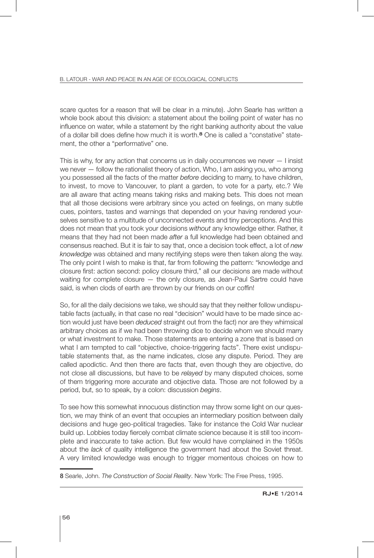scare quotes for a reason that will be clear in a minute). John Searle has written a whole book about this division: a statement about the boiling point of water has no influence on water, while a statement by the right banking authority about the value of a dollar bill does define how much it is worth.8 One is called a "constative" statement, the other a "performative" one.

This is why, for any action that concerns us in daily occurrences we never  $-1$  insist we never — follow the rationalist theory of action, Who, I am asking you, who among you possessed all the facts of the matter *before* deciding to marry, to have children, to invest, to move to Vancouver, to plant a garden, to vote for a party, etc.? We are all aware that acting means taking risks and making bets. This does not mean that all those decisions were arbitrary since you acted on feelings, on many subtle cues, pointers, tastes and warnings that depended on your having rendered yourselves sensitive to a multitude of unconnected events and tiny perceptions. And this does not mean that you took your decisions *without* any knowledge either. Rather, it means that they had not been made *after* a full knowledge had been obtained and consensus reached. But it is fair to say that, once a decision took effect, a lot of *new knowledge* was obtained and many rectifying steps were then taken along the way. The only point I wish to make is that, far from following the pattern: "knowledge and closure first: action second: policy closure third," all our decisions are made without waiting for complete closure — the only closure, as Jean-Paul Sartre could have said, is when clods of earth are thrown by our friends on our coffin!

So, for all the daily decisions we take, we should say that they neither follow undisputable facts (actually, in that case no real "decision" would have to be made since action would just have been *deduced* straight out from the fact) nor are they whimsical arbitrary choices as if we had been throwing dice to decide whom we should marry or what investment to make. Those statements are entering a zone that is based on what I am tempted to call "objective, choice-triggering facts". There exist undisputable statements that, as the name indicates, close any dispute. Period. They are called apodictic. And then there are facts that, even though they are objective, do not close all discussions, but have to be *relayed* by many disputed choices, some of them triggering more accurate and objective data. Those are not followed by a period, but, so to speak, by a colon: discussion *begins*.

To see how this somewhat innocuous distinction may throw some light on our question, we may think of an event that occupies an intermediary position between daily decisions and huge geo-political tragedies. Take for instance the Cold War nuclear build up. Lobbies today fiercely combat climate science because it is still too incomplete and inaccurate to take action. But few would have complained in the 1950s about the *lack* of quality intelligence the government had about the Soviet threat. A very limited knowledge was enough to trigger momentous choices on how to

<sup>8</sup> Searle, John. *The Construction of Social Reality*. New Yorlk: The Free Press, 1995.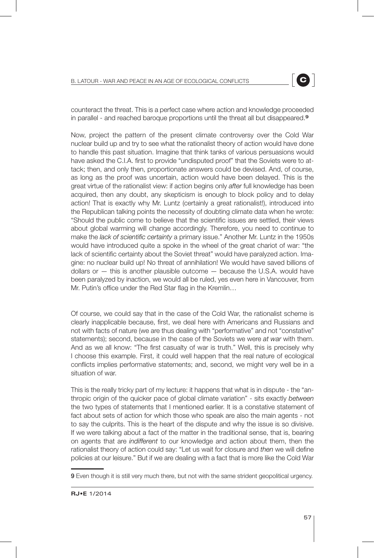counteract the threat. This is a perfect case where action and knowledge proceeded in parallel - and reached baroque proportions until the threat all but disappeared.<sup>9</sup>

Now, project the pattern of the present climate controversy over the Cold War nuclear build up and try to see what the rationalist theory of action would have done to handle this past situation. Imagine that think tanks of various persuasions would have asked the C.I.A. first to provide "undisputed proof" that the Soviets were to attack; then, and only then, proportionate answers could be devised. And, of course, as long as the proof was uncertain, action would have been delayed. This is the great virtue of the rationalist view: if action begins only *after* full knowledge has been acquired, then any doubt, any skepticism is enough to block policy and to delay action! That is exactly why Mr. Luntz (certainly a great rationalist!), introduced into the Republican talking points the necessity of doubting climate data when he wrote: "Should the public come to believe that the scientific issues are settled, their views about global warming will change accordingly. Therefore, you need to continue to make the *lack of scientific certainty* a primary issue." Another Mr. Luntz in the 1950s would have introduced quite a spoke in the wheel of the great chariot of war: "the lack of scientific certainty about the Soviet threat" would have paralyzed action. Imagine: no nuclear build up! No threat of annihilation! We would have saved billions of dollars or — this is another plausible outcome — because the U.S.A. would have been paralyzed by inaction, we would all be ruled, yes even here in Vancouver, from Mr. Putin's office under the Red Star flag in the Kremlin…

Of course, we could say that in the case of the Cold War, the rationalist scheme is clearly inapplicable because, first, we deal here with Americans and Russians and not with facts of nature (we are thus dealing with "performative" and not "constative" statements); second, because in the case of the Soviets we were *at war* with them. And as we all know: "The first casualty of war is truth." Well, this is precisely why I choose this example. First, it could well happen that the real nature of ecological conflicts implies performative statements; and, second, we might very well be in a situation of war.

This is the really tricky part of my lecture: it happens that what is in dispute - the "anthropic origin of the quicker pace of global climate variation" - sits exactly *between* the two types of statements that I mentioned earlier. It is a constative statement of fact about sets of action for which those who speak are also the main agents - not to say the culprits. This is the heart of the dispute and why the issue is so divisive. If we were talking about a fact of the matter in the traditional sense, that is, bearing on agents that are *indifferent* to our knowledge and action about them, then the rationalist theory of action could say: "Let us wait for closure and *then* we will define policies at our leisure." But if we are dealing with a fact that is more like the Cold War

<sup>9</sup> Even though it is still very much there, but not with the same strident geopolitical urgency.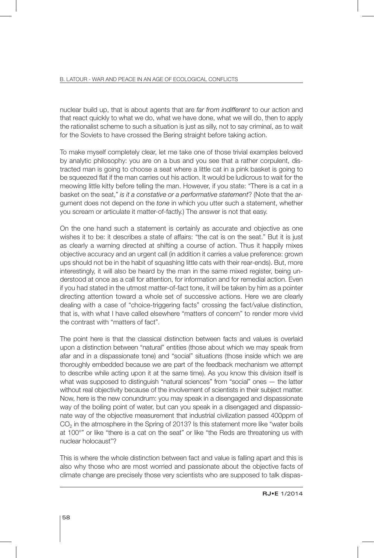nuclear build up, that is about agents that are *far from indifferent* to our action and that react quickly to what we do, what we have done, what we will do, then to apply the rationalist scheme to such a situation is just as silly, not to say criminal, as to wait for the Soviets to have crossed the Bering straight before taking action.

To make myself completely clear, let me take one of those trivial examples beloved by analytic philosophy: you are on a bus and you see that a rather corpulent, distracted man is going to choose a seat where a little cat in a pink basket is going to be squeezed flat if the man carries out his action. It would be ludicrous to wait for the meowing little kitty before telling the man. However, if you state: "There is a cat in a basket on the seat," *is it a constative or a performative statement*? (Note that the argument does not depend on the *tone* in which you utter such a statement, whether you scream or articulate it matter-of-factly.) The answer is not that easy.

On the one hand such a statement is certainly as accurate and objective as one wishes it to be: it describes a state of affairs: "the cat is on the seat." But it is just as clearly a warning directed at shifting a course of action. Thus it happily mixes objective accuracy and an urgent call (in addition it carries a value preference: grown ups should not be in the habit of squashing little cats with their rear-ends). But, more interestingly, it will also be heard by the man in the same mixed register, being understood at once as a call for attention, for information and for remedial action. Even if you had stated in the utmost matter-of-fact tone, it will be taken by him as a pointer directing attention toward a whole set of successive actions. Here we are clearly dealing with a case of "choice-triggering facts" crossing the fact/value distinction, that is, with what I have called elsewhere "matters of concern" to render more vivid the contrast with "matters of fact".

The point here is that the classical distinction between facts and values is overlaid upon a distinction between "natural" entities (those about which we may speak from afar and in a dispassionate tone) and "social" situations (those inside which we are thoroughly embedded because we are part of the feedback mechanism we attempt to describe while acting upon it at the same time). As you know this division itself is what was supposed to distinguish "natural sciences" from "social" ones — the latter without real objectivity because of the involvement of scientists in their subject matter. Now, here is the new conundrum: you may speak in a disengaged and dispassionate way of the boiling point of water, but can you speak in a disengaged and dispassionate way of the objective measurement that industrial civilization passed 400ppm of CO<sub>2</sub> in the atmosphere in the Spring of 2013? Is this statement more like "water boils at 100°" or like "there is a cat on the seat" or like "the Reds are threatening us with nuclear holocaust"?

This is where the whole distinction between fact and value is falling apart and this is also why those who are most worried and passionate about the objective facts of climate change are precisely those very scientists who are supposed to talk dispas-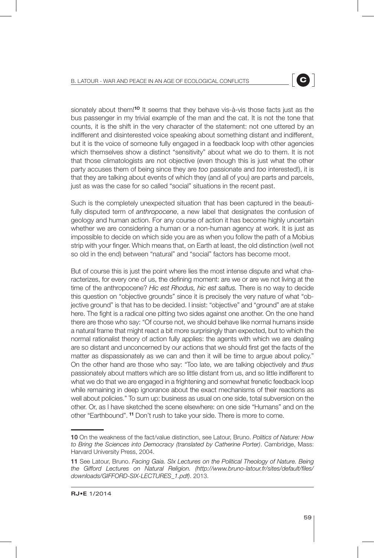sionately about them!<sup>10</sup> It seems that they behave vis-à-vis those facts just as the bus passenger in my trivial example of the man and the cat. It is not the tone that counts, it is the shift in the very character of the statement: not one uttered by an indifferent and disinterested voice speaking about something distant and indifferent, but it is the voice of someone fully engaged in a feedback loop with other agencies which themselves show a distinct "sensitivity" about what we do to them. It is not that those climatologists are not objective (even though this is just what the other party accuses them of being since they are *too* passionate and *too* interested!), it is that they are talking about events of which they (and all of you) are parts and parcels, just as was the case for so called "social" situations in the recent past.

Such is the completely unexpected situation that has been captured in the beautifully disputed term of *anthropocene*, a new label that designates the confusion of geology and human action. For any course of action it has become highly uncertain whether we are considering a human or a non-human agency at work. It is just as impossible to decide on which side you are as when you follow the path of a Mobius strip with your finger. Which means that, on Earth at least, the old distinction (well not so old in the end) between "natural" and "social" factors has become moot.

But of course this is just the point where lies the most intense dispute and what characterizes, for every one of us, the defining moment: are we or are we not living at the time of the anthropocene? *Hic est Rhodus, hic est saltus.* There is no way to decide this question on "objective grounds" since it is precisely the very nature of what "objective ground" is that has to be decided. I insist: "objective" and "ground" are at stake here. The fight is a radical one pitting two sides against one another. On the one hand there are those who say: "Of course not, we should behave like normal humans inside a natural frame that might react a bit more surprisingly than expected, but to which the normal rationalist theory of action fully applies: the agents with which we are dealing are so distant and unconcerned by our actions that we should first get the facts of the matter as dispassionately as we can and then it will be time to argue about policy." On the other hand are those who say: "Too late, we are talking objectively and *thus* passionately about matters which are so little distant from us, and so little indifferent to what we do that we are engaged in a frightening and somewhat frenetic feedback loop while remaining in deep ignorance about the exact mechanisms of their reactions as well about policies." To sum up: business as usual on one side, total subversion on the other. Or, as I have sketched the scene elsewhere: on one side "Humans" and on the other "Earthbound". <sup>11</sup> Don't rush to take your side. There is more to come.

<sup>10</sup> On the weakness of the fact/value distinction, see Latour, Bruno. *Politics of Nature: How to Bring the Sciences into Democracy (translated by Catherine Porter)*. Cambridge, Mass: Harvard University Press, 2004.

<sup>11</sup> See Latour, Bruno. *Facing Gaia. SIx Lectures on the Political Theology of Nature. Being the Gifford Lectures on Natural Religion. (http://www.bruno-latour.fr/sites/default/files/ downloads/GIFFORD-SIX-LECTURES\_1.pdf)*. 2013.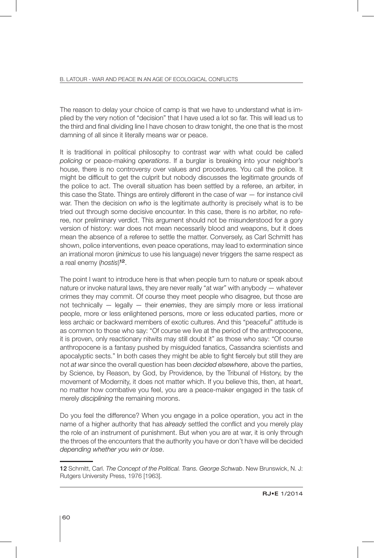The reason to delay your choice of camp is that we have to understand what is implied by the very notion of "decision" that I have used a lot so far. This will lead us to the third and final dividing line I have chosen to draw tonight, the one that is the most damning of all since it literally means war or peace.

It is traditional in political philosophy to contrast *war* with what could be called *policing* or peace-making *operations*. If a burglar is breaking into your neighbor's house, there is no controversy over values and procedures. You call the police. It might be difficult to get the culprit but nobody discusses the legitimate grounds of the police to act. The overall situation has been settled by a referee, an arbiter, in this case the State. Things are entirely different in the case of war — for instance civil war. Then the decision on *who* is the legitimate authority is precisely what is to be tried out through some decisive encounter. In this case, there is no arbiter, no referee, nor preliminary verdict. This argument should not be misunderstood for a gory version of history: war does not mean necessarily blood and weapons, but it does mean the absence of a referee to settle the matter. Conversely, as Carl Schmitt has shown, police interventions, even peace operations, may lead to extermination since an irrational moron (*inimicus* to use his language) never triggers the same respect as a real enemy (*hostis*) <sup>12</sup>.

The point I want to introduce here is that when people turn to nature or speak about nature or invoke natural laws, they are never really "at war" with anybody — whatever crimes they may commit. Of course they meet people who disagree, but those are not technically — legally — their *enemies*, they are simply more or less irrational people, more or less enlightened persons, more or less educated parties, more or less archaic or backward members of exotic cultures. And this "peaceful" attitude is as common to those who say: "Of course we live at the period of the anthropocene, it is proven, only reactionary nitwits may still doubt it" as those who say: "Of course anthropocene is a fantasy pushed by misguided fanatics, Cassandra scientists and apocalyptic sects." In both cases they might be able to fight fiercely but still they are not *at war* since the overall question has been *decided elsewhere*, above the parties, by Science, by Reason, by God, by Providence, by the Tribunal of History, by the movement of Modernity, it does not matter which. If you believe this, then, at heart, no matter how combative you feel, you are a peace-maker engaged in the task of merely *disciplining* the remaining morons.

Do you feel the difference? When you engage in a police operation, you act in the name of a higher authority that has *already* settled the conflict and you merely play the role of an instrument of punishment. But when you are at war, it is only through the throes of the encounters that the authority you have or don't have will be decided *depending whether you win or lose*.

<sup>12</sup> Schmitt, Carl. *The Concept of the Political. Trans. George Schwab*. New Brunswick, N. J: Rutgers University Press, 1976 [1963].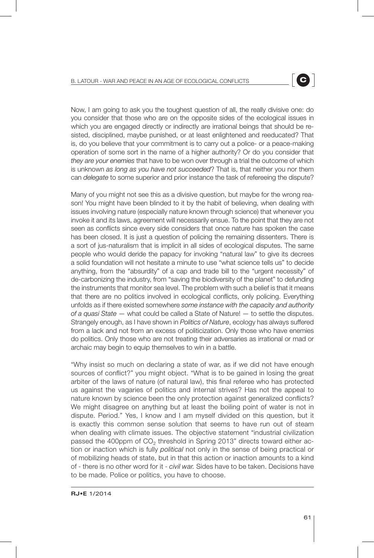Now, I am going to ask you the toughest question of all, the really divisive one: do you consider that those who are on the opposite sides of the ecological issues in which you are engaged directly or indirectly are irrational beings that should be resisted, disciplined, maybe punished, or at least enlightened and reeducated? That is, do you believe that your commitment is to carry out a police- or a peace-making operation of some sort in the name of a higher authority? Or do you consider that *they are your enemies* that have to be won over through a trial the outcome of which is unknown *as long as you have not succeeded*? That is, that neither you nor them can *delegate* to some superior and prior instance the task of refereeing the dispute?

Many of you might not see this as a divisive question, but maybe for the wrong reason! You might have been blinded to it by the habit of believing, when dealing with issues involving nature (especially nature known through science) that whenever you invoke it and its laws, agreement will necessarily ensue. To the point that they are not seen as conflicts since every side considers that once nature has spoken the case has been closed. It is just a question of policing the remaining dissenters. There is a sort of jus-naturalism that is implicit in all sides of ecological disputes. The same people who would deride the papacy for invoking "natural law" to give its decrees a solid foundation will not hesitate a minute to use "what science tells us" to decide anything, from the "absurdity" of a cap and trade bill to the "urgent necessity" of de-carbonizing the industry, from "saving the biodiversity of the planet" to defunding the instruments that monitor sea level. The problem with such a belief is that it means that there are no politics involved in ecological conflicts, only policing. Everything unfolds as if there existed somewhere *some instance with the capacity and authority of a quasi State* — what could be called a State of Nature! — to settle the disputes. Strangely enough, as I have shown in *Politics of Nature*, ecology has always suffered from a lack and not from an excess of politicization. Only those who have enemies do politics. Only those who are not treating their adversaries as irrational or mad or archaic may begin to equip themselves to win in a battle.

"Why insist so much on declaring a state of war, as if we did not have enough sources of conflict?" you might object. "What is to be gained in losing the great arbiter of the laws of nature (of natural law), this final referee who has protected us against the vagaries of politics and internal strives? Has not the appeal to nature known by science been the only protection against generalized conflicts? We might disagree on anything but at least the boiling point of water is not in dispute. Period." Yes, I know and I am myself divided on this question, but it is exactly this common sense solution that seems to have run out of steam when dealing with climate issues. The objective statement "industrial civilization passed the 400ppm of  $CO<sub>2</sub>$  threshold in Spring 2013" directs toward either action or inaction which is fully *political* not only in the sense of being practical or of mobilizing heads of state, but in that this action or inaction amounts to a kind of - there is no other word for it - *civil war.* Sides have to be taken. Decisions have to be made. Police or politics, you have to choose.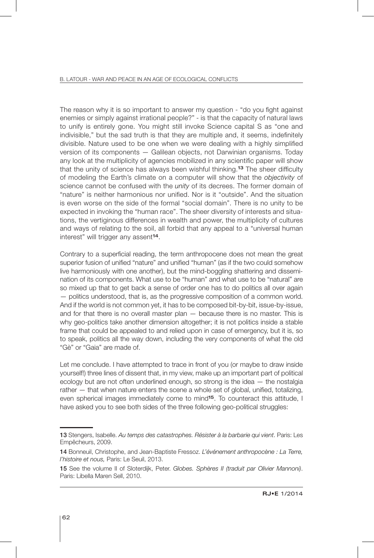The reason why it is so important to answer my question - "do you fight against enemies or simply against irrational people?" - is that the capacity of natural laws to unify is entirely gone. You might still invoke Science capital S as "one and indivisible," but the sad truth is that they are multiple and, it seems, indefinitely divisible. Nature used to be one when we were dealing with a highly simplified version of its components — Galilean objects, not Darwinian organisms. Today any look at the multiplicity of agencies mobilized in any scientific paper will show that the unity of science has always been wishful thinking.<sup>13</sup> The sheer difficulty of modeling the Earth's climate on a computer will show that the *objectivity* of science cannot be confused with the *unity* of its decrees. The former domain of "nature" is neither harmonious nor unified. Nor is it "outside". And the situation is even worse on the side of the formal "social domain". There is no unity to be expected in invoking the "human race". The sheer diversity of interests and situations, the vertiginous differences in wealth and power, the multiplicity of cultures and ways of relating to the soil, all forbid that any appeal to a "universal human interest" will trigger any assent<sup>14</sup>.

Contrary to a superficial reading, the term anthropocene does not mean the great superior fusion of unified "nature" and unified "human" (as if the two could somehow live harmoniously with one another), but the mind-boggling shattering and dissemination of its components. What use to be "human" and what use to be "natural" are so mixed up that to get back a sense of order one has to do politics all over again — politics understood, that is, as the progressive composition of a common world. And if the world is not common yet, it has to be composed bit-by-bit, issue-by-issue, and for that there is no overall master plan — because there is no master. This is why geo-politics take another dimension altogether; it is not politics inside a stable frame that could be appealed to and relied upon in case of emergency, but it is, so to speak, politics all the way down, including the very components of what the old "Gè" or "Gaia" are made of.

Let me conclude. I have attempted to trace in front of you (or maybe to draw inside yourself!) three lines of dissent that, in my view, make up an important part of political ecology but are not often underlined enough, so strong is the idea — the nostalgia rather — that when nature enters the scene a whole set of global, unified, totalizing, even spherical images immediately come to mind<sup>15</sup>. To counteract this attitude, I have asked you to see both sides of the three following geo-political struggles:

<sup>13</sup> Stengers, Isabelle. *Au temps des catastrophes. Résister à la barbarie qui vient*. Paris: Les Empêcheurs, 2009.

<sup>14</sup> Bonneuil, Christophe, and Jean-Baptiste Fressoz. *L'événement anthropocène : La Terre, l'histoire et nous,* Paris: Le Seuil, 2013.

<sup>15</sup> See the volume II of Sloterdijk, Peter. *Globes. Sphères II (traduit par Olivier Mannoni)*. Paris: Libella Maren Sell, 2010.